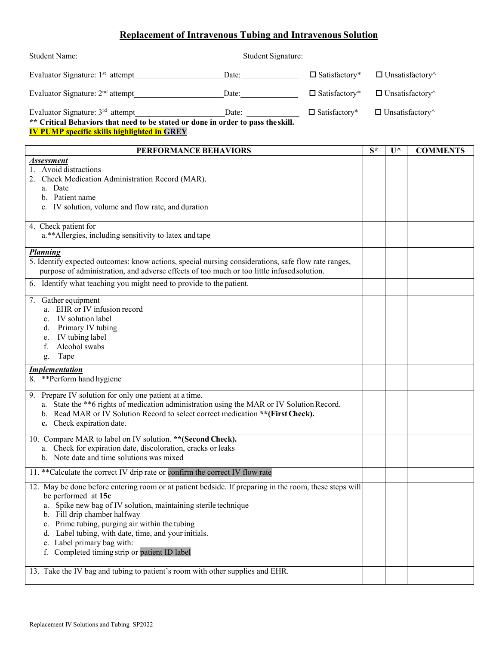## **Replacement of Intravenous Tubing and Intravenous Solution**

| Student Name:                                                                                                                                                                                                                                                                                                                                                                                                            |                                                          |                         |                               |                       |                 |
|--------------------------------------------------------------------------------------------------------------------------------------------------------------------------------------------------------------------------------------------------------------------------------------------------------------------------------------------------------------------------------------------------------------------------|----------------------------------------------------------|-------------------------|-------------------------------|-----------------------|-----------------|
| Evaluator Signature: $1st$ attempt                                                                                                                                                                                                                                                                                                                                                                                       | Date:                                                    | $\square$ Satisfactory* | $\Box$ Unsatisfactory $\land$ |                       |                 |
| Evaluator Signature: 2 <sup>nd</sup> attempt                                                                                                                                                                                                                                                                                                                                                                             | $\sum_{n=1}^{\infty}$ Date:                              | $\square$ Satisfactory* | $\Box$ Unsatisfactory $\land$ |                       |                 |
| Evaluator Signature: 3 <sup>rd</sup> attempt<br>** Critical Behaviors that need to be stated or done in order to pass the skill.<br><b>IV PUMP specific skills highlighted in GREY</b>                                                                                                                                                                                                                                   | Date: $\frac{1}{\sqrt{1-\frac{1}{2}} \cdot \frac{1}{2}}$ | $\square$ Satisfactory* | $\Box$ Unsatisfactory $\land$ |                       |                 |
| PERFORMANCE BEHAVIORS                                                                                                                                                                                                                                                                                                                                                                                                    |                                                          |                         | $S^*$                         | $\mathbf{U}^{\wedge}$ | <b>COMMENTS</b> |
| <b>Assessment</b><br>1. Avoid distractions<br>2. Check Medication Administration Record (MAR).<br>a. Date<br>b. Patient name<br>c. IV solution, volume and flow rate, and duration                                                                                                                                                                                                                                       |                                                          |                         |                               |                       |                 |
| 4. Check patient for<br>a.**Allergies, including sensitivity to latex and tape                                                                                                                                                                                                                                                                                                                                           |                                                          |                         |                               |                       |                 |
| <b>Planning</b><br>5. Identify expected outcomes: know actions, special nursing considerations, safe flow rate ranges,<br>purpose of administration, and adverse effects of too much or too little infused solution.                                                                                                                                                                                                     |                                                          |                         |                               |                       |                 |
| 6. Identify what teaching you might need to provide to the patient.                                                                                                                                                                                                                                                                                                                                                      |                                                          |                         |                               |                       |                 |
| 7. Gather equipment<br>a. EHR or IV infusion record<br>IV solution label<br>c.<br>Primary IV tubing<br>d.<br>IV tubing label<br>e.<br>Alcohol swabs<br>f.<br>Tape<br>g.                                                                                                                                                                                                                                                  |                                                          |                         |                               |                       |                 |
| <b>Implementation</b><br>8. ** Perform hand hygiene                                                                                                                                                                                                                                                                                                                                                                      |                                                          |                         |                               |                       |                 |
| 9. Prepare IV solution for only one patient at a time.<br>a. State the **6 rights of medication administration using the MAR or IV Solution Record.<br>b. Read MAR or IV Solution Record to select correct medication ** (First Check).<br>c. Check expiration date.                                                                                                                                                     |                                                          |                         |                               |                       |                 |
| 10. Compare MAR to label on IV solution. ** (Second Check).<br>a. Check for expiration date, discoloration, cracks or leaks<br>b. Note date and time solutions was mixed                                                                                                                                                                                                                                                 |                                                          |                         |                               |                       |                 |
| 11. **Calculate the correct IV drip rate or confirm the correct IV flow rate                                                                                                                                                                                                                                                                                                                                             |                                                          |                         |                               |                       |                 |
| 12. May be done before entering room or at patient bedside. If preparing in the room, these steps will<br>be performed at 15c<br>a. Spike new bag of IV solution, maintaining sterile technique<br>b. Fill drip chamber halfway<br>c. Prime tubing, purging air within the tubing<br>d. Label tubing, with date, time, and your initials.<br>e. Label primary bag with:<br>f. Completed timing strip or patient ID label |                                                          |                         |                               |                       |                 |
| 13. Take the IV bag and tubing to patient's room with other supplies and EHR.                                                                                                                                                                                                                                                                                                                                            |                                                          |                         |                               |                       |                 |